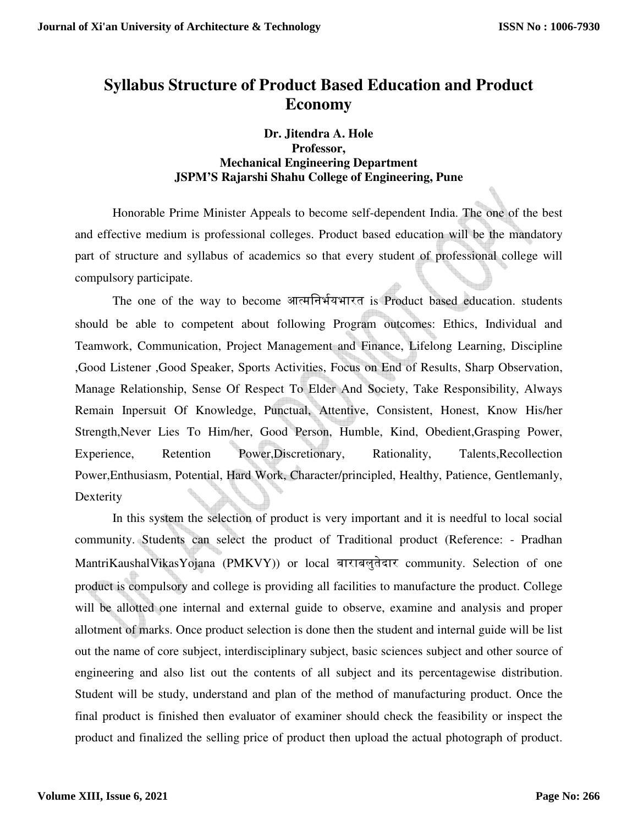# **Syllabus Structure of Product Based Education and Product Economy**

## **Dr. Jitendra A. Hole Professor, Mechanical Engineering Department JSPM'S Rajarshi Shahu College of Engineering, Pune**

Honorable Prime Minister Appeals to become self-dependent India. The one of the best and effective medium is professional colleges. Product based education will be the mandatory part of structure and syllabus of academics so that every student of professional college will compulsory participate.

The one of the way to become आत्मनिर्भयभारत is Product based education. students should be able to competent about following Program outcomes: Ethics, Individual and Teamwork, Communication, Project Management and Finance, Lifelong Learning, Discipline ,Good Listener ,Good Speaker, Sports Activities, Focus on End of Results, Sharp Observation, Manage Relationship, Sense Of Respect To Elder And Society, Take Responsibility, Always Remain Inpersuit Of Knowledge, Punctual, Attentive, Consistent, Honest, Know His/her Strength,Never Lies To Him/her, Good Person, Humble, Kind, Obedient,Grasping Power, Experience, Retention Power,Discretionary, Rationality, Talents,Recollection Power,Enthusiasm, Potential, Hard Work, Character/principled, Healthy, Patience, Gentlemanly, Dexterity

 In this system the selection of product is very important and it is needful to local social community. Students can select the product of Traditional product (Reference: - Pradhan MantriKaushalVikasYojana (PMKVY)) or local बाराबलुतेदार community. Selection of one product is compulsory and college is providing all facilities to manufacture the product. College will be allotted one internal and external guide to observe, examine and analysis and proper allotment of marks. Once product selection is done then the student and internal guide will be list out the name of core subject, interdisciplinary subject, basic sciences subject and other source of engineering and also list out the contents of all subject and its percentagewise distribution. Student will be study, understand and plan of the method of manufacturing product. Once the final product is finished then evaluator of examiner should check the feasibility or inspect the product and finalized the selling price of product then upload the actual photograph of product.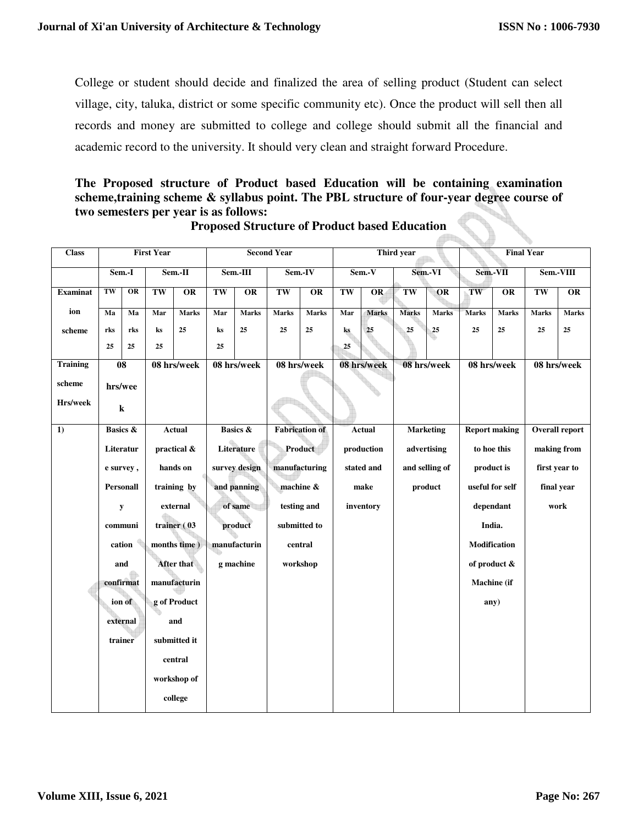College or student should decide and finalized the area of selling product (Student can select village, city, taluka, district or some specific community etc). Once the product will sell then all records and money are submitted to college and college should submit all the financial and academic record to the university. It should very clean and straight forward Procedure.

# **The Proposed structure of Product based Education will be containing examination scheme,training scheme & syllabus point. The PBL structure of four-year degree course of two semesters per year is as follows:**

| <b>Class</b>    | <b>First Year</b>   |                   |               |              |                        | <b>Second Year</b> |                       |                 |            | Third year   |                  | <b>Final Year</b> |                      |              |                       |                 |
|-----------------|---------------------|-------------------|---------------|--------------|------------------------|--------------------|-----------------------|-----------------|------------|--------------|------------------|-------------------|----------------------|--------------|-----------------------|-----------------|
|                 |                     | Sem.-II<br>Sem.-I |               | Sem.-III     |                        | Sem.-IV            |                       | Sem.-V          |            | Sem.-VI      |                  | $Sem.-VII$        |                      | Sem.-VIII    |                       |                 |
| <b>Examinat</b> | TW                  | OR                | TW            | OR           | $\overline{\text{TW}}$ | $\overline{OR}$    | TW                    | $\overline{OR}$ | TW         | OR           | TW               | OR                | TW                   | OR           | TW                    | $\overline{OR}$ |
| ion             | Ma                  | Ma                | Mar           | <b>Marks</b> | Mar                    | <b>Marks</b>       | <b>Marks</b>          | <b>Marks</b>    | Mar        | <b>Marks</b> | <b>Marks</b>     | <b>Marks</b>      | <b>Marks</b>         | <b>Marks</b> | <b>Marks</b>          | <b>Marks</b>    |
| scheme          | rks                 | rks               | ks            | 25           | $\bf ks$               | 25                 | 25                    | 25              | ks         | ${\bf 25}$   | 25               | 25                | 25                   | 25           | 25                    | 25              |
|                 | 25                  | 25                | 25            |              | 25                     |                    |                       |                 | 25         |              |                  |                   |                      |              |                       |                 |
| <b>Training</b> |                     | 08<br>08 hrs/week |               |              | 08 hrs/week            |                    | 08 hrs/week           | 08 hrs/week     |            | 08 hrs/week  |                  | 08 hrs/week       |                      | 08 hrs/week  |                       |                 |
| scheme          | hrs/wee             |                   |               |              |                        |                    |                       |                 |            |              |                  |                   |                      |              |                       |                 |
| Hrs/week        | ${\bf k}$           |                   |               |              |                        |                    |                       |                 |            |              |                  |                   |                      |              |                       |                 |
| 1)              | <b>Basics &amp;</b> |                   | <b>Actual</b> |              | <b>Basics &amp;</b>    |                    | <b>Fabrication</b> of |                 | Actual     |              | <b>Marketing</b> |                   | <b>Report making</b> |              | <b>Overall report</b> |                 |
|                 | Literatur           |                   |               | practical &  | Literature             |                    | Product               |                 | production |              | advertising      |                   | to hoe this          |              | making from           |                 |
|                 | e survey,           |                   |               | hands on     | survey design          |                    | manufacturing         |                 | stated and |              | and selling of   |                   | product is           |              | first year to         |                 |
|                 |                     | <b>Personall</b>  |               | training by  | and panning            |                    | machine &             |                 | make       |              | product          |                   | useful for self      |              | final year            |                 |
|                 |                     | y                 | external      |              | of same                |                    | testing and           |                 | inventory  |              |                  |                   |                      | dependant    |                       | work            |
|                 |                     | communi           |               | trainer (03  |                        | product            |                       | submitted to    |            |              |                  |                   |                      | India.       |                       |                 |
|                 |                     | cation            |               | months time) |                        | manufacturin       |                       | central         |            |              |                  |                   |                      | Modification |                       |                 |
|                 | and                 |                   |               | After that   |                        | g machine          |                       | workshop        |            |              |                  |                   |                      | of product & |                       |                 |
|                 | confirmat           |                   |               | manufacturin |                        |                    |                       |                 |            |              |                  |                   |                      | Machine (if  |                       |                 |
|                 | ion of              |                   |               | g of Product |                        |                    |                       |                 |            |              |                  |                   |                      | any)         |                       |                 |
|                 |                     | external          |               | and          |                        |                    |                       |                 |            |              |                  |                   |                      |              |                       |                 |
|                 |                     | trainer           |               | submitted it |                        |                    |                       |                 |            |              |                  |                   |                      |              |                       |                 |
|                 |                     |                   |               | central      |                        |                    |                       |                 |            |              |                  |                   |                      |              |                       |                 |
|                 |                     |                   |               | workshop of  |                        |                    |                       |                 |            |              |                  |                   |                      |              |                       |                 |
|                 |                     |                   |               | college      |                        |                    |                       |                 |            |              |                  |                   |                      |              |                       |                 |

# **Proposed Structure of Product based Education**

**Allahan**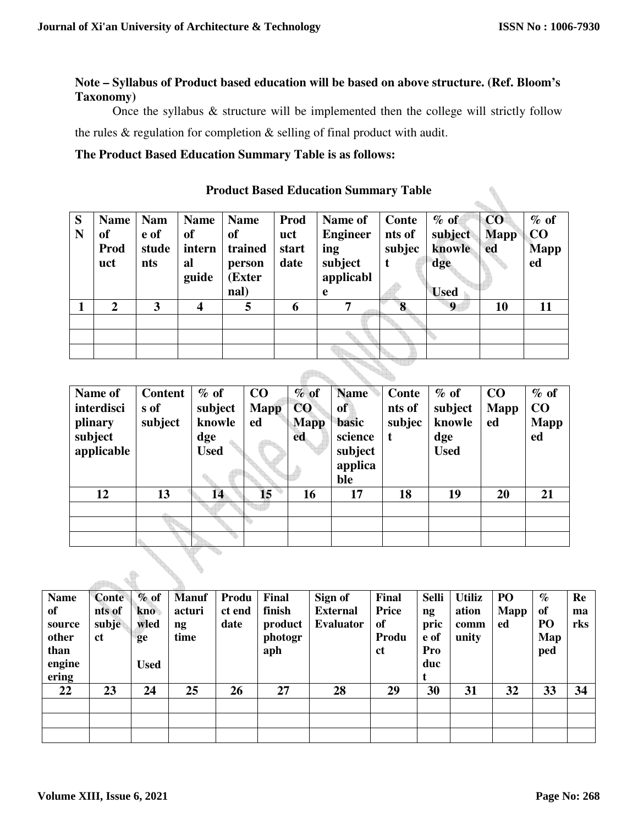ò.

# **Note – Syllabus of Product based education will be based on above structure. (Ref. Bloom's Taxonomy)**

Once the syllabus & structure will be implemented then the college will strictly follow the rules & regulation for completion & selling of final product with audit.

## **The Product Based Education Summary Table is as follows:**

| S<br>N | <b>Name</b><br><sub>of</sub><br>Prod<br>uct | <b>Nam</b><br>e of<br>stude<br>nts | <b>Name</b><br>of<br>intern<br>al<br>guide | <b>Name</b><br><sub>of</sub><br>trained<br>person<br>(Exter<br>nal) | Prod<br>uct<br>start<br>date | Name of<br><b>Engineer</b><br>ing<br>subject<br>applicabl<br>e | Conte<br>nts of<br>subjec<br>t | $%$ of<br>subject<br>knowle<br>dge<br><b>Used</b> | CO<br><b>Mapp</b><br>ed | $%$ of<br>$\bf CO$<br><b>Mapp</b><br>ed |
|--------|---------------------------------------------|------------------------------------|--------------------------------------------|---------------------------------------------------------------------|------------------------------|----------------------------------------------------------------|--------------------------------|---------------------------------------------------|-------------------------|-----------------------------------------|
|        | $\overline{2}$                              | 3                                  | 4                                          | 5                                                                   | 6                            | 7                                                              | 8                              | 9                                                 | 10                      | 11                                      |
|        |                                             |                                    |                                            |                                                                     |                              |                                                                |                                |                                                   |                         |                                         |
|        |                                             |                                    |                                            |                                                                     |                              |                                                                |                                |                                                   |                         |                                         |
|        |                                             |                                    |                                            |                                                                     |                              |                                                                |                                |                                                   |                         |                                         |
|        |                                             |                                    |                                            |                                                                     |                              |                                                                |                                |                                                   |                         |                                         |

#### **Product Based Education Summary Table**

| Name of    | <b>Content</b> | $%$ of      | CO              | $%$ of      | <b>Name</b> | Conte  | $%$ of      | CO          | $%$ of      |
|------------|----------------|-------------|-----------------|-------------|-------------|--------|-------------|-------------|-------------|
| interdisci | s of           | subject     | <b>Mapp</b>     | CO          | of          | nts of | subject     | <b>Mapp</b> | CO          |
| plinary    | subject        | knowle      | ed              | <b>Mapp</b> | basic       | subjec | knowle      | ed          | <b>Mapp</b> |
| subject    |                | dge         |                 | ed          | science     | t      | dge         |             | ed          |
| applicable |                | <b>Used</b> |                 |             | subject     |        | <b>Used</b> |             |             |
|            |                |             |                 |             | applica     |        |             |             |             |
|            |                |             |                 |             | ble         |        |             |             |             |
| 12         | 13             | 14          | 15 <sup>1</sup> | 16          | 17          | 18     | 19          | 20          | 21          |
|            |                |             |                 |             |             |        |             |             |             |
|            |                |             |                 |             |             |        |             |             |             |
|            |                |             |                 |             |             |        |             |             |             |

| <b>Name</b> | <b>Conte</b>  | $\%$ of     | <b>Manuf</b> | Produ  | Final   | Sign of          | Final         | <b>Selli</b> | <b>Utiliz</b> | PO   | $\%$ | Re  |
|-------------|---------------|-------------|--------------|--------|---------|------------------|---------------|--------------|---------------|------|------|-----|
| of          | nts of        | kno         | acturi       | ct end | finish  | <b>External</b>  | Price         | ng           | ation         | Mapp | of   | ma  |
| source      | subje         | wled        | ng           | date   | product | <b>Evaluator</b> | of            | pric         | comm          | ed   | PO   | rks |
| other       | <sub>ct</sub> | ge          | time         |        | photogr |                  | Produ         | e of         | unity         |      | Map  |     |
| than        |               |             |              |        | aph     |                  | <sub>ct</sub> | Pro          |               |      | ped  |     |
| engine      |               | <b>Used</b> |              |        |         |                  |               | duc          |               |      |      |     |
| ering       |               |             |              |        |         |                  |               |              |               |      |      |     |
| 22          | 23            | 24          | 25           | 26     | 27      | 28               | 29            | 30           | 31            | 32   | 33   | 34  |
|             |               |             |              |        |         |                  |               |              |               |      |      |     |
|             |               |             |              |        |         |                  |               |              |               |      |      |     |
|             |               |             |              |        |         |                  |               |              |               |      |      |     |

 $\triangle$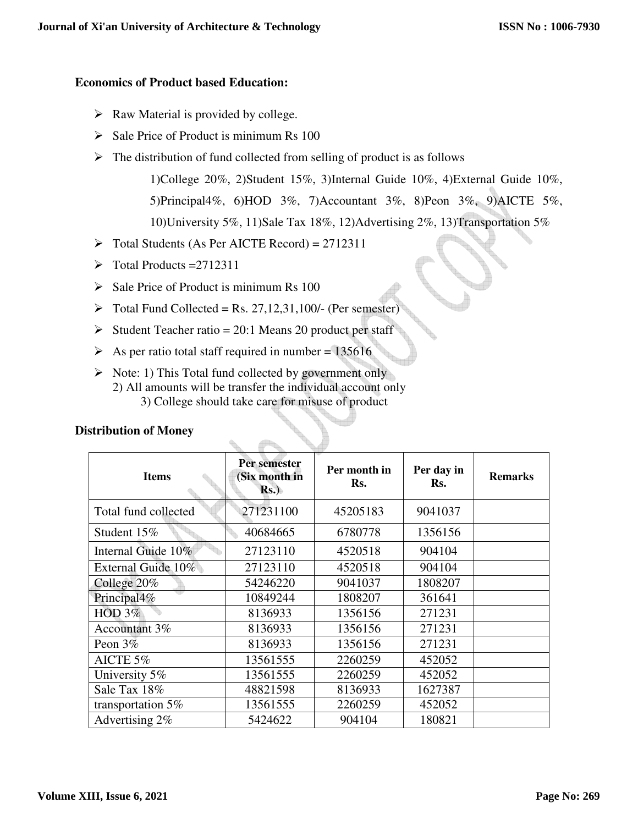## **Economics of Product based Education:**

- $\triangleright$  Raw Material is provided by college.
- $\triangleright$  Sale Price of Product is minimum Rs 100
- $\triangleright$  The distribution of fund collected from selling of product is as follows

1)College 20%, 2)Student 15%, 3)Internal Guide 10%, 4)External Guide 10%, 5)Principal4%, 6)HOD 3%, 7)Accountant 3%, 8)Peon 3%, 9)AICTE 5%, 10)University 5%, 11)Sale Tax 18%, 12)Advertising 2%, 13)Transportation 5%

- $\triangleright$  Total Students (As Per AICTE Record) = 2712311
- $\triangleright$  Total Products = 2712311
- $\triangleright$  Sale Price of Product is minimum Rs 100
- $\triangleright$  Total Fund Collected = Rs. 27,12,31,100/- (Per semester)
- Student Teacher ratio = 20:1 Means 20 product per staff
- $\triangleright$  As per ratio total staff required in number = 135616
- $\triangleright$  Note: 1) This Total fund collected by government only 2) All amounts will be transfer the individual account only 3) College should take care for misuse of product

 $\triangle$ 

| <b>Items</b>         | Per semester<br>(Six month in<br>Rs. | Per month in<br>Rs. | Per day in<br>Rs. | <b>Remarks</b> |
|----------------------|--------------------------------------|---------------------|-------------------|----------------|
| Total fund collected | 271231100                            | 45205183            | 9041037           |                |
| Student 15%          | 40684665                             | 6780778             | 1356156           |                |
| Internal Guide 10%   | 27123110                             | 4520518             | 904104            |                |
| External Guide 10%   | 27123110                             | 4520518             | 904104            |                |
| College 20%          | 54246220                             | 9041037             | 1808207           |                |
| Principal4%          | 10849244                             | 1808207             | 361641            |                |
| HOD $3\%$            | 8136933                              | 1356156             | 271231            |                |
| Accountant 3%        | 8136933                              | 1356156             | 271231            |                |
| Peon $3\%$           | 8136933                              | 1356156             | 271231            |                |
| AICTE 5%             | 13561555                             | 2260259             | 452052            |                |
| University 5%        | 13561555                             | 2260259             | 452052            |                |
| Sale Tax 18%         | 48821598                             | 8136933             | 1627387           |                |
| transportation 5%    | 13561555                             | 2260259             | 452052            |                |
| Advertising 2%       | 5424622                              | 904104              | 180821            |                |

## **Distribution of Money**